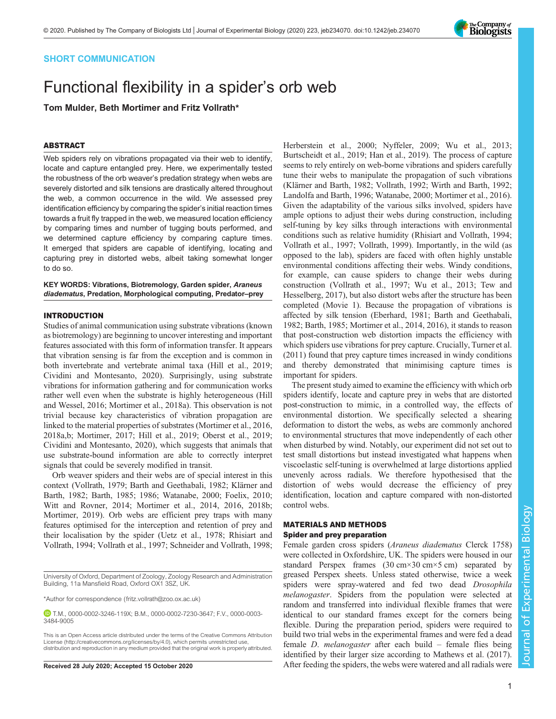# SHORT COMMUNICATION

# Functional flexibility in a spider's orb web

Tom Mulder, Beth Mortimer and Fritz Vollrath\*

# ABSTRACT

Web spiders rely on vibrations propagated via their web to identify, locate and capture entangled prey. Here, we experimentally tested the robustness of the orb weaver's predation strategy when webs are severely distorted and silk tensions are drastically altered throughout the web, a common occurrence in the wild. We assessed prey identification efficiency by comparing the spider's initial reaction times towards a fruit fly trapped in the web, we measured location efficiency by comparing times and number of tugging bouts performed, and we determined capture efficiency by comparing capture times. It emerged that spiders are capable of identifying, locating and capturing prey in distorted webs, albeit taking somewhat longer to do so.

KEY WORDS: Vibrations, Biotremology, Garden spider, Araneus diadematus, Predation, Morphological computing, Predator–prey

# INTRODUCTION

Studies of animal communication using substrate vibrations (known as biotremology) are beginning to uncover interesting and important features associated with this form of information transfer. It appears that vibration sensing is far from the exception and is common in both invertebrate and vertebrate animal taxa ([Hill et al., 2019](#page-3-0); [Cividini and Montesanto, 2020\)](#page-3-0). Surprisingly, using substrate vibrations for information gathering and for communication works rather well even when the substrate is highly heterogeneous [\(Hill](#page-3-0) [and Wessel, 2016](#page-3-0); [Mortimer et al., 2018a](#page-4-0)). This observation is not trivial because key characteristics of vibration propagation are linked to the material properties of substrates ([Mortimer et al., 2016,](#page-4-0) [2018a](#page-4-0),[b](#page-4-0); [Mortimer, 2017](#page-4-0); [Hill et al., 2019;](#page-3-0) [Oberst et al., 2019](#page-4-0); [Cividini and Montesanto, 2020\)](#page-3-0), which suggests that animals that use substrate-bound information are able to correctly interpret signals that could be severely modified in transit.

Orb weaver spiders and their webs are of special interest in this context [\(Vollrath, 1979](#page-4-0); [Barth and Geethabali, 1982](#page-3-0); [Klärner and](#page-4-0) [Barth, 1982](#page-4-0); [Barth, 1985](#page-3-0); [1986;](#page-3-0) [Watanabe, 2000;](#page-4-0) [Foelix, 2010](#page-3-0); [Witt and Rovner, 2014; Mortimer et al., 2014](#page-4-0), [2016, 2018b](#page-4-0); [Mortimer, 2019\)](#page-4-0). Orb webs are efficient prey traps with many features optimised for the interception and retention of prey and their localisation by the spider [\(Uetz et al., 1978](#page-4-0); [Rhisiart and](#page-4-0) [Vollrath, 1994](#page-4-0); [Vollrath et al., 1997](#page-4-0); [Schneider and Vollrath, 1998](#page-4-0);

\*Author for correspondence [\(fritz.vollrath@zoo.ox.ac.uk\)](mailto:fritz.vollrath@zoo.ox.ac.uk)

[Herberstein et al., 2000;](#page-3-0) [Nyffeler, 2009; Wu et al., 2013](#page-4-0); [Burtscheidt et al., 2019](#page-3-0); [Han et al., 2019\)](#page-3-0). The process of capture seems to rely entirely on web-borne vibrations and spiders carefully tune their webs to manipulate the propagation of such vibrations [\(Klärner and Barth, 1982](#page-4-0); [Vollrath, 1992](#page-4-0); [Wirth and Barth, 1992](#page-4-0); [Landolfa and Barth, 1996; Watanabe, 2000](#page-4-0); [Mortimer et al., 2016\)](#page-4-0). Given the adaptability of the various silks involved, spiders have ample options to adjust their webs during construction, including self-tuning by key silks through interactions with environmental conditions such as relative humidity ([Rhisiart and Vollrath, 1994](#page-4-0); [Vollrath et al., 1997](#page-4-0); [Vollrath, 1999](#page-4-0)). Importantly, in the wild (as opposed to the lab), spiders are faced with often highly unstable environmental conditions affecting their webs. Windy conditions, for example, can cause spiders to change their webs during construction [\(Vollrath et al., 1997; Wu et al., 2013; Tew and](#page-4-0) [Hesselberg, 2017](#page-4-0)), but also distort webs after the structure has been completed ([Movie 1\)](http://movie.biologists.com/video/10.1242/jeb.234070/video-1). Because the propagation of vibrations is affected by silk tension [\(Eberhard, 1981](#page-3-0); [Barth and Geethabali,](#page-3-0) [1982; Barth, 1985;](#page-3-0) [Mortimer et al., 2014](#page-4-0), [2016](#page-4-0)), it stands to reason that post-construction web distortion impacts the efficiency with which spiders use vibrations for prey capture. Crucially, [Turner et al.](#page-4-0) [\(2011\)](#page-4-0) found that prey capture times increased in windy conditions and thereby demonstrated that minimising capture times is important for spiders.

The present study aimed to examine the efficiency with which orb spiders identify, locate and capture prey in webs that are distorted post-construction to mimic, in a controlled way, the effects of environmental distortion. We specifically selected a shearing deformation to distort the webs, as webs are commonly anchored to environmental structures that move independently of each other when disturbed by wind. Notably, our experiment did not set out to test small distortions but instead investigated what happens when viscoelastic self-tuning is overwhelmed at large distortions applied unevenly across radials. We therefore hypothesised that the distortion of webs would decrease the efficiency of prey identification, location and capture compared with non-distorted control webs.

# MATERIALS AND METHODS Spider and prey preparation

Female garden cross spiders (Araneus diadematus Clerck 1758) were collected in Oxfordshire, UK. The spiders were housed in our standard Perspex frames (30 cm×30 cm×5 cm) separated by greased Perspex sheets. Unless stated otherwise, twice a week spiders were spray-watered and fed two dead Drosophila melanogaster. Spiders from the population were selected at random and transferred into individual flexible frames that were identical to our standard frames except for the corners being flexible. During the preparation period, spiders were required to build two trial webs in the experimental frames and were fed a dead female D. melanogaster after each build – female flies being identified by their larger size according to [Mathews et al. \(2017\).](#page-4-0) Received 28 July 2020; Accepted 15 October 2020 After feeding the spiders, the webs were watered and all radials were

University of Oxford, Department of Zoology, Zoology Research and Administration Building, 11a Mansfield Road, Oxford OX1 3SZ, UK.

T.M., [0000-0002-3246-119X](http://orcid.org/0000-0002-3246-119X); B.M., [0000-0002-7230-3647;](http://orcid.org/0000-0002-7230-3647) F.V., [0000-0003-](http://orcid.org/0000-0003-3484-9005) [3484-9005](http://orcid.org/0000-0003-3484-9005)

This is an Open Access article distributed under the terms of the Creative Commons Attribution License [\(http://creativecommons.org/licenses/by/4.0\)](http://creativecommons.org/licenses/by/4.0), which permits unrestricted use, distribution and reproduction in any medium provided that the original work is properly attributed.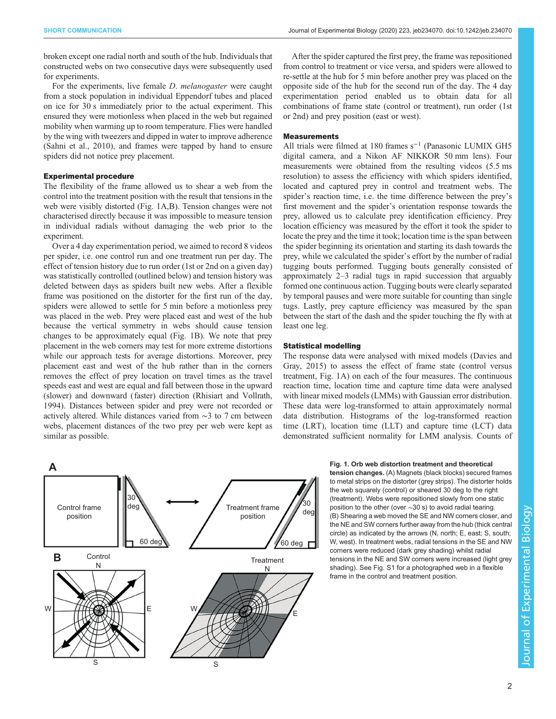<span id="page-1-0"></span>broken except one radial north and south of the hub. Individuals that constructed webs on two consecutive days were subsequently used for experiments.

For the experiments, live female *D. melanogaster* were caught from a stock population in individual Eppendorf tubes and placed on ice for 30 s immediately prior to the actual experiment. This ensured they were motionless when placed in the web but regained mobility when warming up to room temperature. Flies were handled by the wing with tweezers and dipped in water to improve adherence [\(Sahni et al., 2010\)](#page-4-0), and frames were tapped by hand to ensure spiders did not notice prey placement.

## Experimental procedure

The flexibility of the frame allowed us to shear a web from the control into the treatment position with the result that tensions in the web were visibly distorted (Fig. 1A,B). Tension changes were not characterised directly because it was impossible to measure tension in individual radials without damaging the web prior to the experiment.

Over a 4 day experimentation period, we aimed to record 8 videos per spider, i.e. one control run and one treatment run per day. The effect of tension history due to run order (1st or 2nd on a given day) was statistically controlled (outlined below) and tension history was deleted between days as spiders built new webs. After a flexible frame was positioned on the distorter for the first run of the day, spiders were allowed to settle for 5 min before a motionless prey was placed in the web. Prey were placed east and west of the hub because the vertical symmetry in webs should cause tension changes to be approximately equal (Fig. 1B). We note that prey placement in the web corners may test for more extreme distortions while our approach tests for average distortions. Moreover, prey placement east and west of the hub rather than in the corners removes the effect of prey location on travel times as the travel speeds east and west are equal and fall between those in the upward (slower) and downward (faster) direction ([Rhisiart and Vollrath,](#page-4-0) [1994](#page-4-0)). Distances between spider and prey were not recorded or actively altered. While distances varied from ∼3 to 7 cm between webs, placement distances of the two prey per web were kept as similar as possible.

After the spider captured the first prey, the frame was repositioned from control to treatment or vice versa, and spiders were allowed to re-settle at the hub for 5 min before another prey was placed on the opposite side of the hub for the second run of the day. The 4 day experimentation period enabled us to obtain data for all combinations of frame state (control or treatment), run order (1st or 2nd) and prey position (east or west).

#### Measurements

All trials were filmed at 180 frames s<sup>-1</sup> (Panasonic LUMIX GH5 digital camera, and a Nikon AF NIKKOR 50 mm lens). Four measurements were obtained from the resulting videos (5.5 ms resolution) to assess the efficiency with which spiders identified, located and captured prey in control and treatment webs. The spider's reaction time, i.e. the time difference between the prey's first movement and the spider's orientation response towards the prey, allowed us to calculate prey identification efficiency. Prey location efficiency was measured by the effort it took the spider to locate the prey and the time it took; location time is the span between the spider beginning its orientation and starting its dash towards the prey, while we calculated the spider's effort by the number of radial tugging bouts performed. Tugging bouts generally consisted of approximately 2–3 radial tugs in rapid succession that arguably formed one continuous action. Tugging bouts were clearly separated by temporal pauses and were more suitable for counting than single tugs. Lastly, prey capture efficiency was measured by the span between the start of the dash and the spider touching the fly with at least one leg.

# Statistical modelling

The response data were analysed with mixed models [\(Davies and](#page-3-0) [Gray, 2015](#page-3-0)) to assess the effect of frame state (control versus treatment, Fig. 1A) on each of the four measures. The continuous reaction time, location time and capture time data were analysed with linear mixed models (LMMs) with Gaussian error distribution. These data were log-transformed to attain approximately normal data distribution. Histograms of the log-transformed reaction time (LRT), location time (LLT) and capture time (LCT) data demonstrated sufficient normality for LMM analysis. Counts of

Fig. 1. Orb web distortion treatment and theoretical tension changes. (A) Magnets (black blocks) secured frames to metal strips on the distorter (grey strips). The distorter holds the web squarely (control) or sheared 30 deg to the right (treatment). Webs were repositioned slowly from one static position to the other (over ∼30 s) to avoid radial tearing. (B) Shearing a web moved the SE and NW corners closer, and the NE and SW corners further away from the hub (thick central circle) as indicated by the arrows (N, north; E, east; S, south; W, west). In treatment webs, radial tensions in the SE and NW corners were reduced (dark grey shading) whilst radial tensions in the NE and SW corners were increased (light grey shading). See [Fig. S1](https://jeb.biologists.org/lookup/doi/10.1242/jeb.234070.supplemental) for a photographed web in a flexible frame in the control and treatment position.

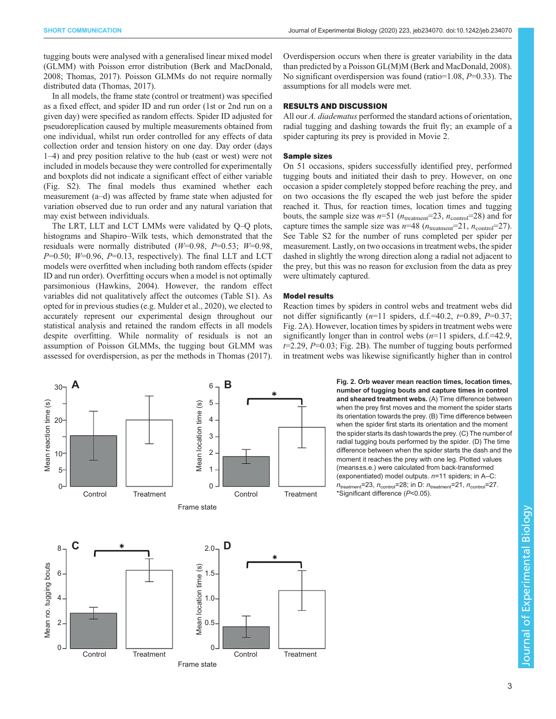<span id="page-2-0"></span>tugging bouts were analysed with a generalised linear mixed model (GLMM) with Poisson error distribution [\(Berk and MacDonald,](#page-3-0) [2008](#page-3-0); [Thomas, 2017\)](#page-4-0). Poisson GLMMs do not require normally distributed data ([Thomas, 2017](#page-4-0)).

In all models, the frame state (control or treatment) was specified as a fixed effect, and spider ID and run order (1st or 2nd run on a given day) were specified as random effects. Spider ID adjusted for pseudoreplication caused by multiple measurements obtained from one individual, whilst run order controlled for any effects of data collection order and tension history on one day. Day order (days 1–4) and prey position relative to the hub (east or west) were not included in models because they were controlled for experimentally and boxplots did not indicate a significant effect of either variable [\(Fig. S2\)](https://jeb.biologists.org/lookup/doi/10.1242/jeb.234070.supplemental). The final models thus examined whether each measurement (a–d) was affected by frame state when adjusted for variation observed due to run order and any natural variation that may exist between individuals.

The LRT, LLT and LCT LMMs were validated by Q–Q plots, histograms and Shapiro–Wilk tests, which demonstrated that the residuals were normally distributed  $(W=0.98, P=0.53; W=0.98,$  $P=0.50$ ;  $W=0.96$ ,  $P=0.13$ , respectively). The final LLT and LCT models were overfitted when including both random effects (spider ID and run order). Overfitting occurs when a model is not optimally parsimonious ([Hawkins, 2004](#page-3-0)). However, the random effect variables did not qualitatively affect the outcomes [\(Table S1\)](https://jeb.biologists.org/lookup/doi/10.1242/jeb.234070.supplemental). As opted for in previous studies (e.g. [Mulder et al., 2020](#page-4-0)), we elected to accurately represent our experimental design throughout our statistical analysis and retained the random effects in all models despite overfitting. While normality of residuals is not an assumption of Poisson GLMMs, the tugging bout GLMM was assessed for overdispersion, as per the methods in [Thomas \(2017\).](#page-4-0)

 $30^{\circ}$  **A**  $6^{\circ}$  **B** 6 5 Mean reaction time (s) Mean reaction time (s) Mean location time (s) Mean location time (s) 4 20 3 2 10 5 1  $0^{\cdot}$ 0 Control Treatment Control Treatment Frame state **C**  $*$   $20 - D$ 8  $2.0 -$ Mean no. tugging bouts Mean no. tugging bouts Mean location time (s) Mean location time (s) 1.5 6 4 1.0 2 0.5 0 0 Control Treatment Control Treatment Frame state

Overdispersion occurs when there is greater variability in the data than predicted by a Poisson GL(M)M [\(Berk and MacDonald, 2008\)](#page-3-0). No significant overdispersion was found (ratio=1.08,  $P=0.33$ ). The assumptions for all models were met.

# RESULTS AND DISCUSSION

All our A. diadematus performed the standard actions of orientation, radial tugging and dashing towards the fruit fly; an example of a spider capturing its prey is provided in [Movie 2.](http://movie.biologists.com/video/10.1242/jeb.234070/video-2)

#### Sample sizes

On 51 occasions, spiders successfully identified prey, performed tugging bouts and initiated their dash to prey. However, on one occasion a spider completely stopped before reaching the prey, and on two occasions the fly escaped the web just before the spider reached it. Thus, for reaction times, location times and tugging bouts, the sample size was  $n=51$  ( $n_{\text{treatment}}=23$ ,  $n_{\text{control}}=28$ ) and for capture times the sample size was  $n=48$  ( $n_{\text{treatment}}=21$ ,  $n_{\text{control}}=27$ ). See [Table S2](https://jeb.biologists.org/lookup/doi/10.1242/jeb.234070.supplemental) for the number of runs completed per spider per measurement. Lastly, on two occasions in treatment webs, the spider dashed in slightly the wrong direction along a radial not adjacent to the prey, but this was no reason for exclusion from the data as prey were ultimately captured.

### Model results

Reaction times by spiders in control webs and treatment webs did not differ significantly  $(n=11 \text{ spiders}, d.f.=40.2, t=0.89, P=0.37;$ Fig. 2A). However, location times by spiders in treatment webs were significantly longer than in control webs  $(n=11 \text{ spiders}, d.f.=42.9)$ ,  $t=2.29$ ,  $P=0.03$ ; Fig. 2B). The number of tugging bouts performed in treatment webs was likewise significantly higher than in control

> Fig. 2. Orb weaver mean reaction times, location times, number of tugging bouts and capture times in control and sheared treatment webs. (A) Time difference between when the prey first moves and the moment the spider starts its orientation towards the prey. (B) Time difference between when the spider first starts its orientation and the moment the spider starts its dash towards the prey. (C) The number of radial tugging bouts performed by the spider. (D) The time difference between when the spider starts the dash and the moment it reaches the prey with one leg. Plotted values (means±s.e.) were calculated from back-transformed (exponentiated) model outputs. n=11 spiders; in A–C:  $n_{\text{treatment}}$ =23,  $n_{\text{control}}$ =28; in D:  $n_{\text{treatment}}$ =21,  $n_{\text{control}}$ =27. \*Significant difference (P<0.05).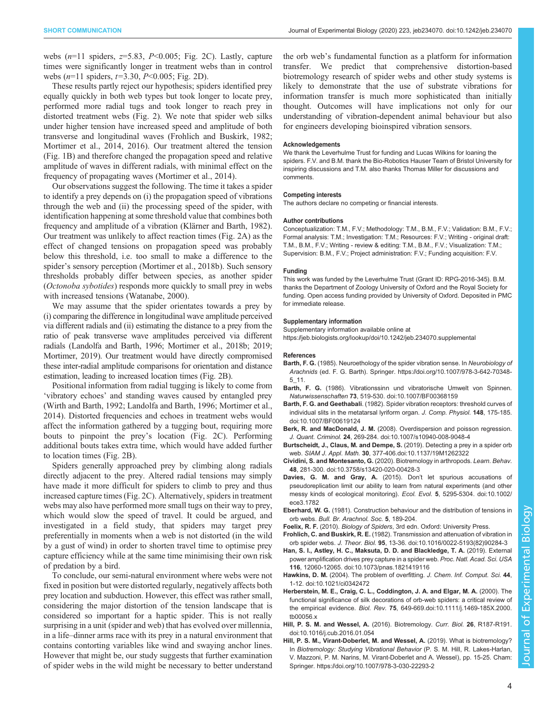<span id="page-3-0"></span>webs  $(n=11 \text{ spiders}, z=5.83, P<0.005; Fig. 2C)$  $(n=11 \text{ spiders}, z=5.83, P<0.005; Fig. 2C)$  $(n=11 \text{ spiders}, z=5.83, P<0.005; Fig. 2C)$ . Lastly, capture times were significantly longer in treatment webs than in control webs  $(n=11 \text{ spiders}, t=3.30, P<0.005; Fig. 2D)$  $(n=11 \text{ spiders}, t=3.30, P<0.005; Fig. 2D)$  $(n=11 \text{ spiders}, t=3.30, P<0.005; Fig. 2D)$ .

These results partly reject our hypothesis; spiders identified prey equally quickly in both web types but took longer to locate prey, performed more radial tugs and took longer to reach prey in distorted treatment webs [\(Fig. 2](#page-2-0)). We note that spider web silks under higher tension have increased speed and amplitude of both transverse and longitudinal waves (Frohlich and Buskirk, 1982; [Mortimer et al., 2014, 2016\)](#page-4-0). Our treatment altered the tension [\(Fig. 1](#page-1-0)B) and therefore changed the propagation speed and relative amplitude of waves in different radials, with minimal effect on the frequency of propagating waves ([Mortimer et al., 2014\)](#page-4-0).

Our observations suggest the following. The time it takes a spider to identify a prey depends on (i) the propagation speed of vibrations through the web and (ii) the processing speed of the spider, with identification happening at some threshold value that combines both frequency and amplitude of a vibration ([Klärner and Barth, 1982\)](#page-4-0). Our treatment was unlikely to affect reaction times ([Fig. 2](#page-2-0)A) as the effect of changed tensions on propagation speed was probably below this threshold, i.e. too small to make a difference to the spider's sensory perception ([Mortimer et al., 2018b\)](#page-4-0). Such sensory thresholds probably differ between species, as another spider (Octonoba sybotides) responds more quickly to small prey in webs with increased tensions [\(Watanabe, 2000](#page-4-0)).

We may assume that the spider orientates towards a prey by (i) comparing the difference in longitudinal wave amplitude perceived via different radials and (ii) estimating the distance to a prey from the ratio of peak transverse wave amplitudes perceived via different radials ([Landolfa and Barth, 1996](#page-4-0); [Mortimer et al., 2018b](#page-4-0); [2019](#page-4-0); [Mortimer, 2019](#page-4-0)). Our treatment would have directly compromised these inter-radial amplitude comparisons for orientation and distance estimation, leading to increased location times [\(Fig. 2B](#page-2-0)).

Positional information from radial tugging is likely to come from 'vibratory echoes' and standing waves caused by entangled prey [\(Wirth and Barth, 1992](#page-4-0); [Landolfa and Barth, 1996; Mortimer et al.,](#page-4-0) [2014](#page-4-0)). Distorted frequencies and echoes in treatment webs would affect the information gathered by a tugging bout, requiring more bouts to pinpoint the prey's location [\(Fig. 2](#page-2-0)C). Performing additional bouts takes extra time, which would have added further to location times ([Fig. 2](#page-2-0)B).

Spiders generally approached prey by climbing along radials directly adjacent to the prey. Altered radial tensions may simply have made it more difficult for spiders to climb to prey and thus increased capture times [\(Fig. 2C](#page-2-0)). Alternatively, spiders in treatment webs may also have performed more small tugs on their way to prey, which would slow the speed of travel. It could be argued, and investigated in a field study, that spiders may target prey preferentially in moments when a web is not distorted (in the wild by a gust of wind) in order to shorten travel time to optimise prey capture efficiency while at the same time minimising their own risk of predation by a bird.

To conclude, our semi-natural environment where webs were not fixed in position but were distorted regularly, negatively affects both prey location and subduction. However, this effect was rather small, considering the major distortion of the tension landscape that is considered so important for a haptic spider. This is not really surprising in a unit (spider and web) that has evolved over millennia, in a life–dinner arms race with its prey in a natural environment that contains contorting variables like wind and swaying anchor lines. However that might be, our study suggests that further examination of spider webs in the wild might be necessary to better understand

the orb web's fundamental function as a platform for information transfer. We predict that comprehensive distortion-based biotremology research of spider webs and other study systems is likely to demonstrate that the use of substrate vibrations for information transfer is much more sophisticated than initially thought. Outcomes will have implications not only for our understanding of vibration-dependent animal behaviour but also for engineers developing bioinspired vibration sensors.

#### Acknowledgements

We thank the Leverhulme Trust for funding and Lucas Wilkins for loaning the spiders. F.V. and B.M. thank the Bio-Robotics Hauser Team of Bristol University for inspiring discussions and T.M. also thanks Thomas Miller for discussions and comments.

#### Competing interests

The authors declare no competing or financial interests.

#### Author contributions

Conceptualization: T.M., F.V.; Methodology: T.M., B.M., F.V.; Validation: B.M., F.V.; Formal analysis: T.M.; Investigation: T.M.; Resources: F.V.; Writing - original draft: T.M., B.M., F.V.; Writing - review & editing: T.M., B.M., F.V.; Visualization: T.M.; Supervision: B.M., F.V.; Project administration: F.V.; Funding acquisition: F.V.

#### Funding

This work was funded by the Leverhulme Trust (Grant ID: RPG-2016-345). B.M. thanks the Department of Zoology University of Oxford and the Royal Society for funding. Open access funding provided by University of Oxford. Deposited in PMC for immediate release.

#### Supplementary information

Supplementary information available online at <https://jeb.biologists.org/lookup/doi/10.1242/jeb.234070.supplemental>

#### References

- Barth, F. G. (1985). Neuroethology of the spider vibration sense. In Neurobiology of Arachnids (ed. F. G. Barth). Springer. [https://doi.org/10.1007/978-3-642-70348-](https://doi.org/10.1007/978-3-642-70348-5_11) [5\\_11](https://doi.org/10.1007/978-3-642-70348-5_11).
- Barth, F. G. [\(1986\). Vibrationssinn und vibratorische Umwelt von Spinnen.](https://doi.org/10.1007/BF00368159) Naturwissenschaften 73[, 519-530. doi:10.1007/BF00368159](https://doi.org/10.1007/BF00368159)
- Barth, F. G. and Geethabali[. \(1982\). Spider vibration receptors: threshold curves of](https://doi.org/10.1007/BF00619124) [individual slits in the metatarsal lyriform organ.](https://doi.org/10.1007/BF00619124) J. Comp. Physiol. 148, 175-185. [doi:10.1007/BF00619124](https://doi.org/10.1007/BF00619124)
- Berk, R. and MacDonald, J. M. [\(2008\). Overdispersion and poisson regression.](https://doi.org/10.1007/s10940-008-9048-4) J. Quant. Criminol. 24[, 269-284. doi:10.1007/s10940-008-9048-4](https://doi.org/10.1007/s10940-008-9048-4)
- [Burtscheidt, J., Claus, M. and Dempe, S.](https://doi.org/10.1137/19M1262322) (2019). Detecting a prey in a spider orb web. SIAM J. Appl. Math. 30[, 377-406.doi:10.1137/19M1262322](https://doi.org/10.1137/19M1262322)
- Cividini, S. and Montesanto, G. [\(2020\). Biotremology in arthropods.](https://doi.org/10.3758/s13420-020-00428-3) Learn. Behav. 48[, 281-300. doi:10.3758/s13420-020-00428-3](https://doi.org/10.3758/s13420-020-00428-3)
- [Davies, G. M. and Gray, A.](https://doi.org/10.1002/ece3.1782) (2015). Don't let spurious accusations of [pseudoreplication limit our ability to learn from natural experiments \(and other](https://doi.org/10.1002/ece3.1782) [messy kinds of ecological monitoring\).](https://doi.org/10.1002/ece3.1782) Ecol. Evol. 5, 5295-5304. doi:10.1002/ [ece3.1782](https://doi.org/10.1002/ece3.1782)
- Eberhard, W. G. (1981). Construction behaviour and the distribution of tensions in orb webs. Bull. Br. Arachnol. Soc. 5, 189-204.
- Foelix, R. F. (2010). Biology of Spiders, 3rd edn. Oxford: University Press.
- Frohlich, C. and Buskirk, R. E. [\(1982\). Transmission and attenuation of vibration in](https://doi.org/10.1016/0022-5193(82)90284-3) orb spider webs. J. Theor. Biol. 95[, 13-36. doi:10.1016/0022-5193\(82\)90284-3](https://doi.org/10.1016/0022-5193(82)90284-3)
- [Han, S. I., Astley, H. C., Maksuta, D. D. and Blackledge, T. A.](https://doi.org/10.1073/pnas.1821419116) (2019). External [power amplification drives prey capture in a spider web.](https://doi.org/10.1073/pnas.1821419116) Proc. Natl. Acad. Sci. USA 116[, 12060-12065. doi:10.1073/pnas.1821419116](https://doi.org/10.1073/pnas.1821419116)
- Hawkins, D. M. [\(2004\). The problem of overfitting.](https://doi.org/10.1021/ci0342472) J. Chem. Inf. Comput. Sci. 44, [1-12. doi:10.1021/ci0342472](https://doi.org/10.1021/ci0342472)
- [Herberstein, M. E., Craig, C. L., Coddington, J. A. and Elgar, M. A.](https://doi.org/10.1111/j.1469-185X.2000.tb00056.x) (2000). The [functional significance of silk decorations of orb-web spiders: a critical review of](https://doi.org/10.1111/j.1469-185X.2000.tb00056.x) the empirical evidence. Biol. Rev. 75[, 649-669.doi:10.1111/j.1469-185X.2000.](https://doi.org/10.1111/j.1469-185X.2000.tb00056.x) [tb00056.x](https://doi.org/10.1111/j.1469-185X.2000.tb00056.x)
- [Hill, P. S. M. and Wessel, A.](https://doi.org/10.1016/j.cub.2016.01.054) (2016). Biotremology. Curr. Biol. 26, R187-R191. [doi:10.1016/j.cub.2016.01.054](https://doi.org/10.1016/j.cub.2016.01.054)
- Hill, P. S. M., Virant-Doberlet, M. and Wessel, A. (2019). What is biotremology? In Biotremology: Studying Vibrational Behavior (P. S. M. Hill, R. Lakes-Harlan, V. Mazzoni, P. M. Narins, M. Virant-Doberlet and A. Wessel), pp. 15-25. Cham: Springer.<https://doi.org/10.1007/978-3-030-22293-2>